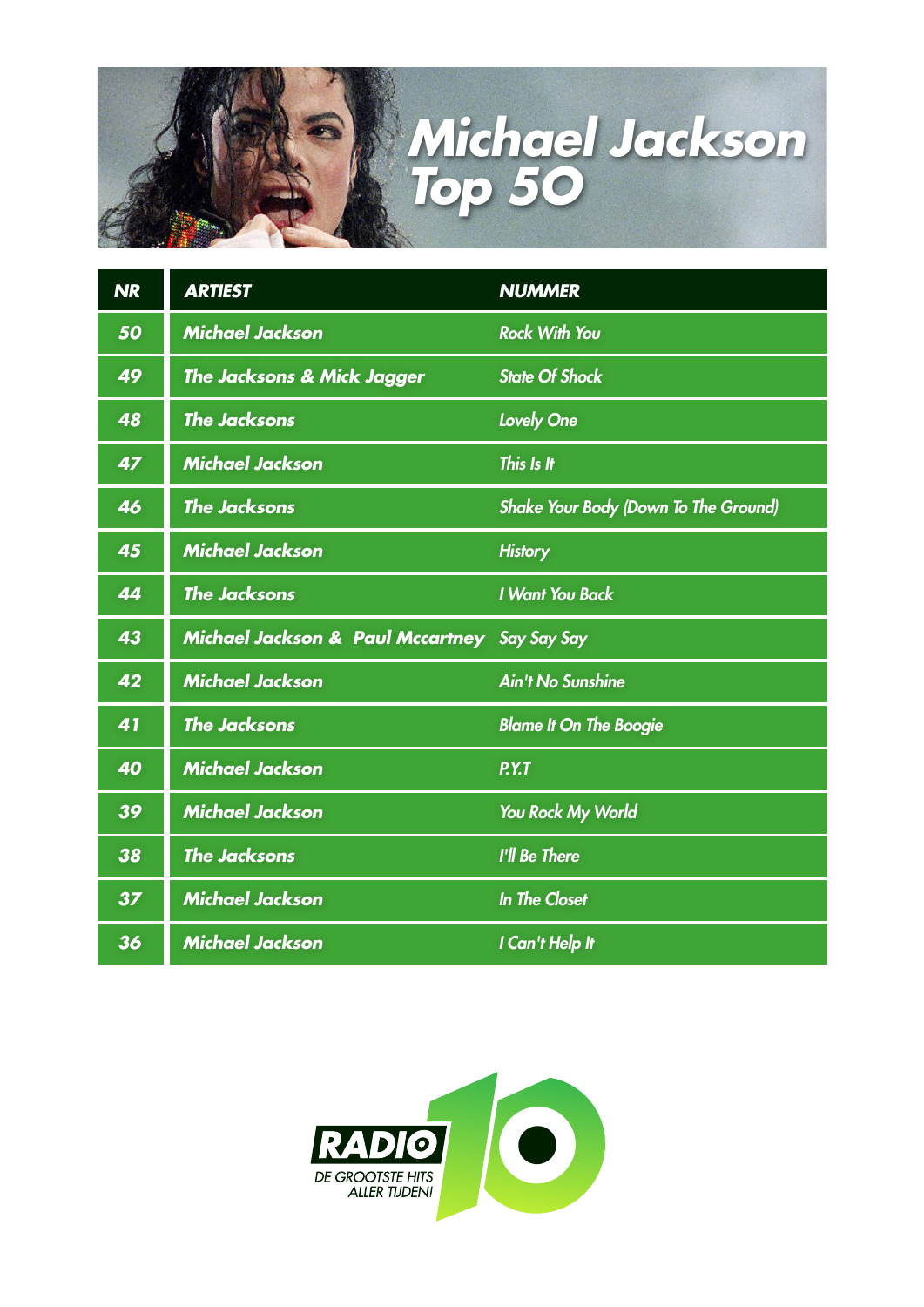

| <b>NR</b> | <b>ARTIEST</b>                                          | <b>NUMMER</b>                        |
|-----------|---------------------------------------------------------|--------------------------------------|
| 50        | <b>Michael Jackson</b>                                  | <b>Rock With You</b>                 |
| 49        | <b>The Jacksons &amp; Mick Jagger</b>                   | <b>State Of Shock</b>                |
| 48        | <b>The Jacksons</b>                                     | <b>Lovely One</b>                    |
| 47        | <b>Michael Jackson</b>                                  | This Is It                           |
| 46        | <b>The Jacksons</b>                                     | Shake Your Body (Down To The Ground) |
| 45        | <b>Michael Jackson</b>                                  | <b>History</b>                       |
| 44        | <b>The Jacksons</b>                                     | <b>I Want You Back</b>               |
| 43        | <b>Michael Jackson &amp; Paul Mccartney</b> Say Say Say |                                      |
| 42        | <b>Michael Jackson</b>                                  | <b>Ain't No Sunshine</b>             |
| 41        | <b>The Jacksons</b>                                     | <b>Blame It On The Boogie</b>        |
| 40        | <b>Michael Jackson</b>                                  | P.Y.T                                |
| 39        | <b>Michael Jackson</b>                                  | You Rock My World                    |
| 38        | <b>The Jacksons</b>                                     | I'll Be There                        |
| 37        | <b>Michael Jackson</b>                                  | <b>In The Closet</b>                 |
| 36        | <b>Michael Jackson</b>                                  | I Can't Help It                      |

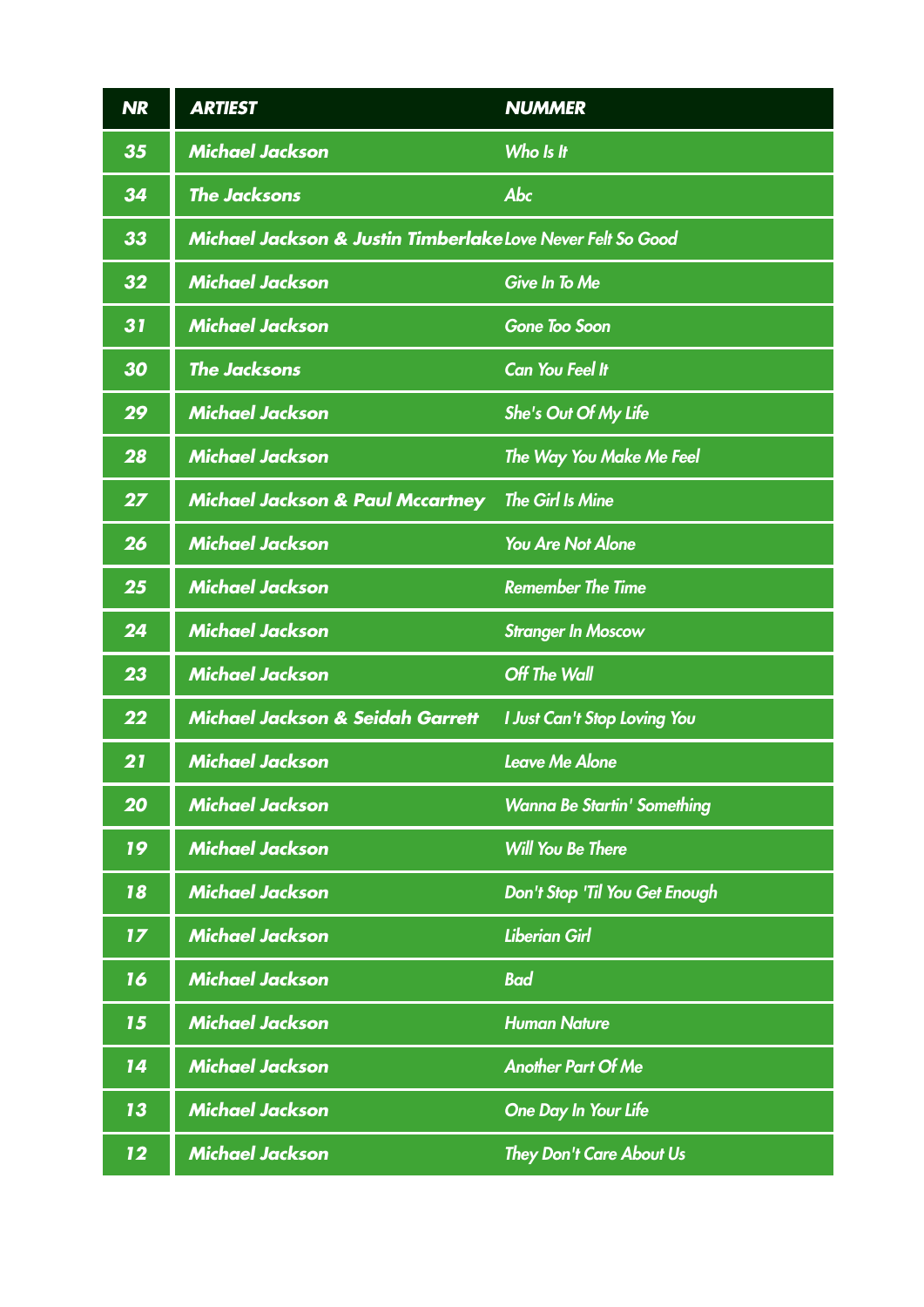| <b>NR</b> | <b>ARTIEST</b>                                              | <b>NUMMER</b>                       |
|-----------|-------------------------------------------------------------|-------------------------------------|
| 35        | <b>Michael Jackson</b>                                      | Who Is It                           |
| 34        | <b>The Jacksons</b>                                         | Abc                                 |
| 33        | Michael Jackson & Justin Timberlake Love Never Felt So Good |                                     |
| 32        | <b>Michael Jackson</b>                                      | <b>Give In To Me</b>                |
| 31        | <b>Michael Jackson</b>                                      | <b>Gone Too Soon</b>                |
| 30        | <b>The Jacksons</b>                                         | <b>Can You Feel It</b>              |
| 29        | <b>Michael Jackson</b>                                      | She's Out Of My Life                |
| 28        | <b>Michael Jackson</b>                                      | The Way You Make Me Feel            |
| 27        | <b>Michael Jackson &amp; Paul Mccartney</b>                 | <b>The Girl Is Mine</b>             |
| 26        | <b>Michael Jackson</b>                                      | <b>You Are Not Alone</b>            |
| 25        | <b>Michael Jackson</b>                                      | <b>Remember The Time</b>            |
| 24        | <b>Michael Jackson</b>                                      | <b>Stranger In Moscow</b>           |
| 23        | <b>Michael Jackson</b>                                      | <b>Off The Wall</b>                 |
| 22        | <b>Michael Jackson &amp; Seidah Garrett</b>                 | <b>I Just Can't Stop Loving You</b> |
| 21        | <b>Michael Jackson</b>                                      | <b>Leave Me Alone</b>               |
| 20        | <b>Michael Jackson</b>                                      | <b>Wanna Be Startin' Something</b>  |
| 19        | <b>Michael Jackson</b>                                      | <b>Will You Be There</b>            |
| 18        | <b>Michael Jackson</b>                                      | Don't Stop 'Til You Get Enough      |
| 17        | <b>Michael Jackson</b>                                      | <b>Liberian Girl</b>                |
| 16        | <b>Michael Jackson</b>                                      | <b>Bad</b>                          |
| 15        | <b>Michael Jackson</b>                                      | <b>Human Nature</b>                 |
| 14        | <b>Michael Jackson</b>                                      | <b>Another Part Of Me</b>           |
| 13        | <b>Michael Jackson</b>                                      | <b>One Day In Your Life</b>         |
| 12        | <b>Michael Jackson</b>                                      | <b>They Don't Care About Us</b>     |